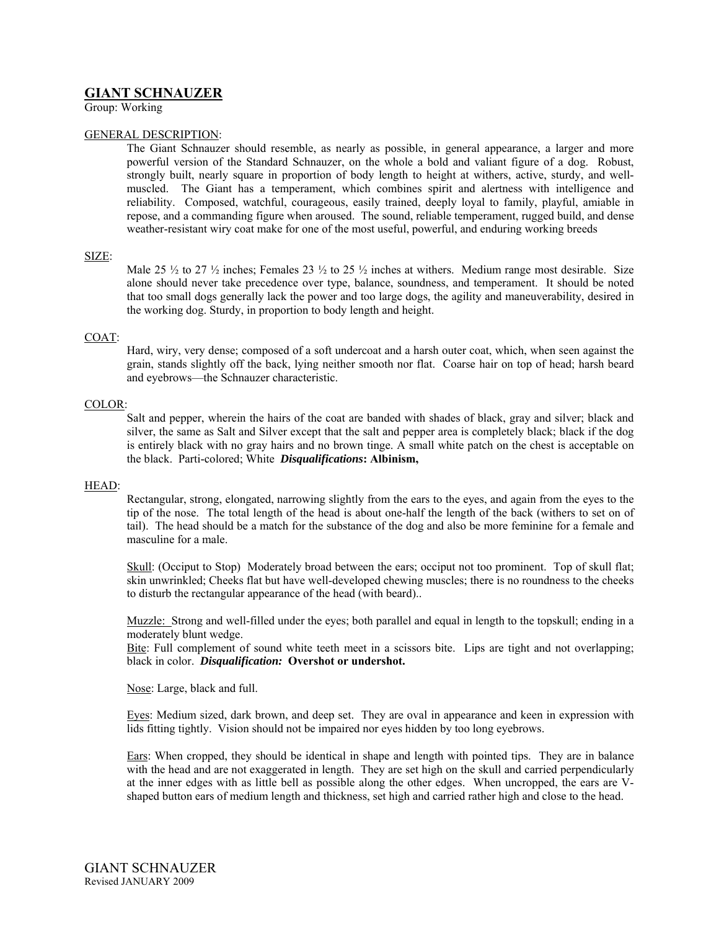# **GIANT SCHNAUZER**

Group: Working

## GENERAL DESCRIPTION:

The Giant Schnauzer should resemble, as nearly as possible, in general appearance, a larger and more powerful version of the Standard Schnauzer, on the whole a bold and valiant figure of a dog. Robust, strongly built, nearly square in proportion of body length to height at withers, active, sturdy, and wellmuscled. The Giant has a temperament, which combines spirit and alertness with intelligence and reliability. Composed, watchful, courageous, easily trained, deeply loyal to family, playful, amiable in repose, and a commanding figure when aroused. The sound, reliable temperament, rugged build, and dense weather-resistant wiry coat make for one of the most useful, powerful, and enduring working breeds

### SIZE:

Male 25  $\frac{1}{2}$  to 27  $\frac{1}{2}$  inches; Females 23  $\frac{1}{2}$  to 25  $\frac{1}{2}$  inches at withers. Medium range most desirable. Size alone should never take precedence over type, balance, soundness, and temperament. It should be noted that too small dogs generally lack the power and too large dogs, the agility and maneuverability, desired in the working dog. Sturdy, in proportion to body length and height.

### COAT:

Hard, wiry, very dense; composed of a soft undercoat and a harsh outer coat, which, when seen against the grain, stands slightly off the back, lying neither smooth nor flat. Coarse hair on top of head; harsh beard and eyebrows—the Schnauzer characteristic.

### COLOR:

Salt and pepper, wherein the hairs of the coat are banded with shades of black, gray and silver; black and silver, the same as Salt and Silver except that the salt and pepper area is completely black; black if the dog is entirely black with no gray hairs and no brown tinge. A small white patch on the chest is acceptable on the black. Parti-colored; White *Disqualifications***: Albinism,**

#### HEAD:

Rectangular, strong, elongated, narrowing slightly from the ears to the eyes, and again from the eyes to the tip of the nose. The total length of the head is about one-half the length of the back (withers to set on of tail). The head should be a match for the substance of the dog and also be more feminine for a female and masculine for a male.

Skull: (Occiput to Stop) Moderately broad between the ears; occiput not too prominent. Top of skull flat; skin unwrinkled; Cheeks flat but have well-developed chewing muscles; there is no roundness to the cheeks to disturb the rectangular appearance of the head (with beard)..

Muzzle: Strong and well-filled under the eyes; both parallel and equal in length to the topskull; ending in a moderately blunt wedge.

Bite: Full complement of sound white teeth meet in a scissors bite. Lips are tight and not overlapping; black in color. *Disqualification:* **Overshot or undershot.** 

Nose: Large, black and full.

Eyes: Medium sized, dark brown, and deep set. They are oval in appearance and keen in expression with lids fitting tightly. Vision should not be impaired nor eyes hidden by too long eyebrows.

Ears: When cropped, they should be identical in shape and length with pointed tips. They are in balance with the head and are not exaggerated in length. They are set high on the skull and carried perpendicularly at the inner edges with as little bell as possible along the other edges. When uncropped, the ears are Vshaped button ears of medium length and thickness, set high and carried rather high and close to the head.